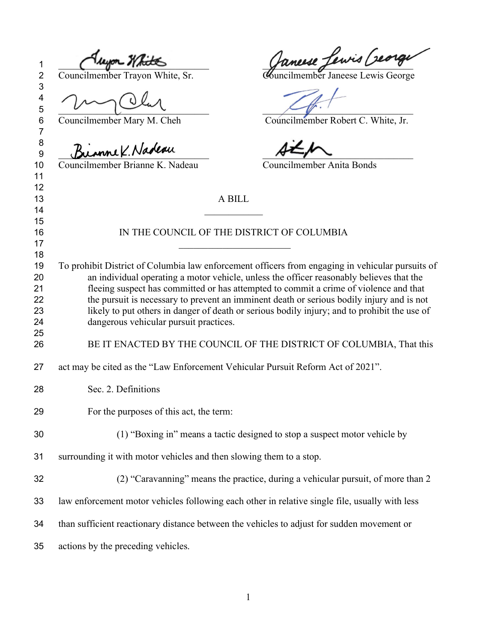$\epsilon$ ╱ \_\_\_\_\_\_\_\_\_\_\_\_\_\_\_\_\_\_\_\_\_\_\_\_\_\_\_\_\_\_\_ \_\_\_\_\_\_\_\_\_\_\_\_\_\_\_\_\_\_\_\_\_\_\_\_\_\_\_\_\_\_\_

 

 $\frac{9}{9}$   $\frac{Bu}{2}$  Councilmember Brianne K. Nadeau Councilmem

Councilmember Brianne K. Nadeau Councilmember Anita Bonds

 $\frac{1}{2}$   $\frac{1}{2}$   $\frac{1}{2}$   $\frac{1}{2}$   $\frac{1}{2}$   $\frac{1}{2}$   $\frac{1}{2}$   $\frac{1}{2}$   $\frac{1}{2}$   $\frac{1}{2}$   $\frac{1}{2}$   $\frac{1}{2}$   $\frac{1}{2}$   $\frac{1}{2}$   $\frac{1}{2}$   $\frac{1}{2}$   $\frac{1}{2}$   $\frac{1}{2}$   $\frac{1}{2}$   $\frac{1}{2}$   $\frac{1}{2}$   $\frac{1}{2}$ 

2 Councilmember Trayon White, Sr. Councilmember Janeese Lewis George

Councilmember Mary M. Cheh Councilmember Robert C. White, Jr.

| 12<br>13 | A BILL                                                                                           |
|----------|--------------------------------------------------------------------------------------------------|
| 14       |                                                                                                  |
| 15<br>16 | IN THE COUNCIL OF THE DISTRICT OF COLUMBIA                                                       |
| 17       |                                                                                                  |
| 18       |                                                                                                  |
| 19       | To prohibit District of Columbia law enforcement officers from engaging in vehicular pursuits of |
| 20       | an individual operating a motor vehicle, unless the officer reasonably believes that the         |
| 21       | fleeing suspect has committed or has attempted to commit a crime of violence and that            |
| 22       | the pursuit is necessary to prevent an imminent death or serious bodily injury and is not        |
| 23       | likely to put others in danger of death or serious bodily injury; and to prohibit the use of     |
| 24       | dangerous vehicular pursuit practices.                                                           |
| 25       |                                                                                                  |
| 26       | BE IT ENACTED BY THE COUNCIL OF THE DISTRICT OF COLUMBIA, That this                              |
| 27       | act may be cited as the "Law Enforcement Vehicular Pursuit Reform Act of 2021".                  |
| 28       | Sec. 2. Definitions                                                                              |
| 29       | For the purposes of this act, the term:                                                          |
| 30       | (1) "Boxing in" means a tactic designed to stop a suspect motor vehicle by                       |
| 31       | surrounding it with motor vehicles and then slowing them to a stop.                              |
| 32       | (2) "Caravanning" means the practice, during a vehicular pursuit, of more than 2                 |
| 33       | law enforcement motor vehicles following each other in relative single file, usually with less   |
| 34       | than sufficient reactionary distance between the vehicles to adjust for sudden movement or       |
| 35       | actions by the preceding vehicles.                                                               |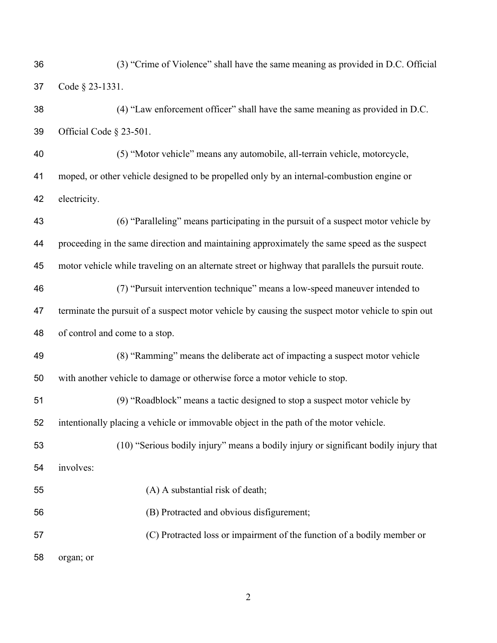| 36 | (3) "Crime of Violence" shall have the same meaning as provided in D.C. Official                  |
|----|---------------------------------------------------------------------------------------------------|
| 37 | Code § 23-1331.                                                                                   |
| 38 | (4) "Law enforcement officer" shall have the same meaning as provided in D.C.                     |
| 39 | Official Code § 23-501.                                                                           |
| 40 | (5) "Motor vehicle" means any automobile, all-terrain vehicle, motorcycle,                        |
| 41 | moped, or other vehicle designed to be propelled only by an internal-combustion engine or         |
| 42 | electricity.                                                                                      |
| 43 | (6) "Paralleling" means participating in the pursuit of a suspect motor vehicle by                |
| 44 | proceeding in the same direction and maintaining approximately the same speed as the suspect      |
| 45 | motor vehicle while traveling on an alternate street or highway that parallels the pursuit route. |
| 46 | (7) "Pursuit intervention technique" means a low-speed maneuver intended to                       |
| 47 | terminate the pursuit of a suspect motor vehicle by causing the suspect motor vehicle to spin out |
| 48 | of control and come to a stop.                                                                    |
| 49 | (8) "Ramming" means the deliberate act of impacting a suspect motor vehicle                       |
| 50 | with another vehicle to damage or otherwise force a motor vehicle to stop.                        |
| 51 | (9) "Roadblock" means a tactic designed to stop a suspect motor vehicle by                        |
| 52 | intentionally placing a vehicle or immovable object in the path of the motor vehicle.             |
| 53 | (10) "Serious bodily injury" means a bodily injury or significant bodily injury that              |
| 54 | involves:                                                                                         |
| 55 | (A) A substantial risk of death;                                                                  |
| 56 | (B) Protracted and obvious disfigurement;                                                         |
| 57 | (C) Protracted loss or impairment of the function of a bodily member or                           |
| 58 | organ; or                                                                                         |
|    |                                                                                                   |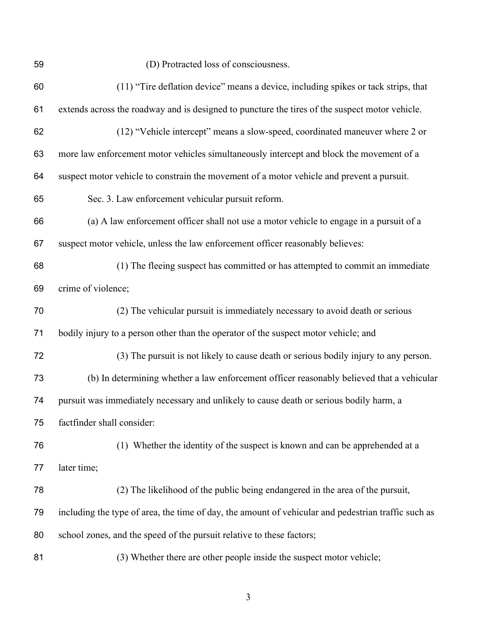(D) Protracted loss of consciousness.

| 60 | (11) "Tire deflation device" means a device, including spikes or tack strips, that                  |
|----|-----------------------------------------------------------------------------------------------------|
| 61 | extends across the roadway and is designed to puncture the tires of the suspect motor vehicle.      |
| 62 | (12) "Vehicle intercept" means a slow-speed, coordinated maneuver where 2 or                        |
| 63 | more law enforcement motor vehicles simultaneously intercept and block the movement of a            |
| 64 | suspect motor vehicle to constrain the movement of a motor vehicle and prevent a pursuit.           |
| 65 | Sec. 3. Law enforcement vehicular pursuit reform.                                                   |
| 66 | (a) A law enforcement officer shall not use a motor vehicle to engage in a pursuit of a             |
| 67 | suspect motor vehicle, unless the law enforcement officer reasonably believes:                      |
| 68 | (1) The fleeing suspect has committed or has attempted to commit an immediate                       |
| 69 | crime of violence;                                                                                  |
| 70 | (2) The vehicular pursuit is immediately necessary to avoid death or serious                        |
| 71 | bodily injury to a person other than the operator of the suspect motor vehicle; and                 |
| 72 | (3) The pursuit is not likely to cause death or serious bodily injury to any person.                |
| 73 | (b) In determining whether a law enforcement officer reasonably believed that a vehicular           |
| 74 | pursuit was immediately necessary and unlikely to cause death or serious bodily harm, a             |
| 75 | factfinder shall consider:                                                                          |
| 76 | (1) Whether the identity of the suspect is known and can be apprehended at a                        |
| 77 | later time;                                                                                         |
| 78 | (2) The likelihood of the public being endangered in the area of the pursuit,                       |
| 79 | including the type of area, the time of day, the amount of vehicular and pedestrian traffic such as |
| 80 | school zones, and the speed of the pursuit relative to these factors;                               |
| 81 | (3) Whether there are other people inside the suspect motor vehicle;                                |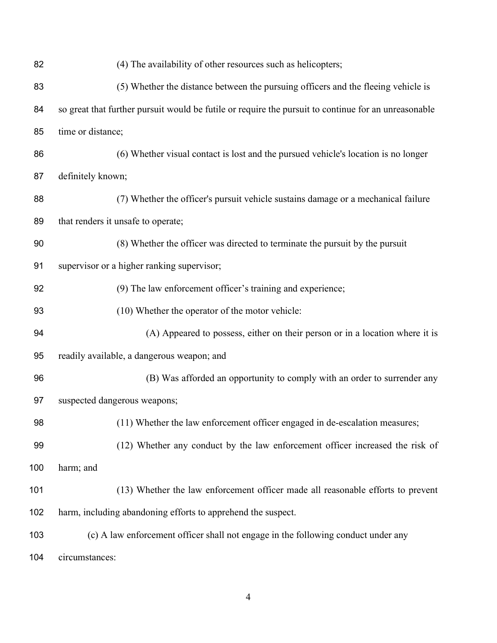| 82  | (4) The availability of other resources such as helicopters;                                         |
|-----|------------------------------------------------------------------------------------------------------|
| 83  | (5) Whether the distance between the pursuing officers and the fleeing vehicle is                    |
| 84  | so great that further pursuit would be futile or require the pursuit to continue for an unreasonable |
| 85  | time or distance;                                                                                    |
| 86  | (6) Whether visual contact is lost and the pursued vehicle's location is no longer                   |
| 87  | definitely known;                                                                                    |
| 88  | (7) Whether the officer's pursuit vehicle sustains damage or a mechanical failure                    |
| 89  | that renders it unsafe to operate;                                                                   |
| 90  | (8) Whether the officer was directed to terminate the pursuit by the pursuit                         |
| 91  | supervisor or a higher ranking supervisor;                                                           |
| 92  | (9) The law enforcement officer's training and experience;                                           |
| 93  | (10) Whether the operator of the motor vehicle:                                                      |
| 94  | (A) Appeared to possess, either on their person or in a location where it is                         |
| 95  | readily available, a dangerous weapon; and                                                           |
| 96  | (B) Was afforded an opportunity to comply with an order to surrender any                             |
| 97  | suspected dangerous weapons;                                                                         |
| 98  | (11) Whether the law enforcement officer engaged in de-escalation measures;                          |
| 99  | (12) Whether any conduct by the law enforcement officer increased the risk of                        |
| 100 | harm; and                                                                                            |
| 101 | (13) Whether the law enforcement officer made all reasonable efforts to prevent                      |
| 102 | harm, including abandoning efforts to apprehend the suspect.                                         |
| 103 | (c) A law enforcement officer shall not engage in the following conduct under any                    |
| 104 | circumstances:                                                                                       |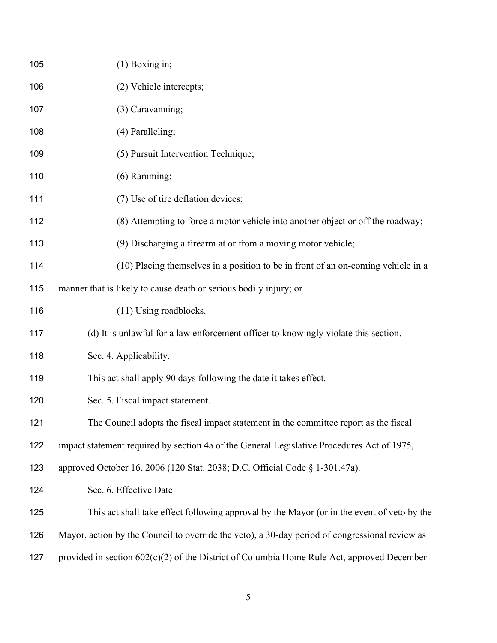| 105 | $(1)$ Boxing in;                                                                               |
|-----|------------------------------------------------------------------------------------------------|
| 106 | (2) Vehicle intercepts;                                                                        |
| 107 | (3) Caravanning;                                                                               |
| 108 | (4) Paralleling;                                                                               |
| 109 | (5) Pursuit Intervention Technique;                                                            |
| 110 | (6) Ramming;                                                                                   |
| 111 | (7) Use of tire deflation devices;                                                             |
| 112 | (8) Attempting to force a motor vehicle into another object or off the roadway;                |
| 113 | (9) Discharging a firearm at or from a moving motor vehicle;                                   |
| 114 | (10) Placing themselves in a position to be in front of an on-coming vehicle in a              |
| 115 | manner that is likely to cause death or serious bodily injury; or                              |
| 116 | (11) Using roadblocks.                                                                         |
| 117 | (d) It is unlawful for a law enforcement officer to knowingly violate this section.            |
| 118 | Sec. 4. Applicability.                                                                         |
| 119 | This act shall apply 90 days following the date it takes effect.                               |
| 120 | Sec. 5. Fiscal impact statement.                                                               |
| 121 | The Council adopts the fiscal impact statement in the committee report as the fiscal           |
| 122 | impact statement required by section 4a of the General Legislative Procedures Act of 1975,     |
| 123 | approved October 16, 2006 (120 Stat. 2038; D.C. Official Code § 1-301.47a).                    |
| 124 | Sec. 6. Effective Date                                                                         |
| 125 | This act shall take effect following approval by the Mayor (or in the event of veto by the     |
| 126 | Mayor, action by the Council to override the veto), a 30-day period of congressional review as |
| 127 | provided in section $602(c)(2)$ of the District of Columbia Home Rule Act, approved December   |